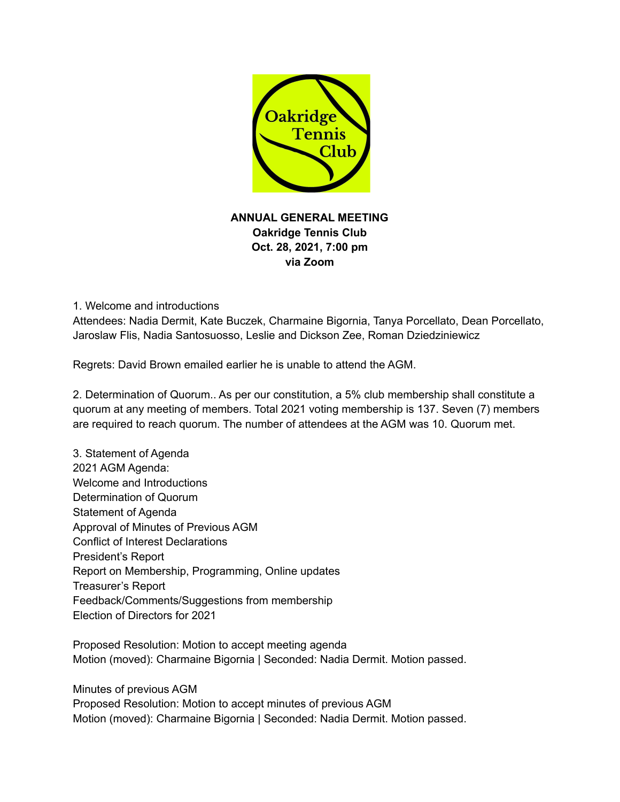

**ANNUAL GENERAL MEETING Oakridge Tennis Club Oct. 28, 2021, 7:00 pm via Zoom**

1. Welcome and introductions

Attendees: Nadia Dermit, Kate Buczek, Charmaine Bigornia, Tanya Porcellato, Dean Porcellato, Jaroslaw Flis, Nadia Santosuosso, Leslie and Dickson Zee, Roman Dziedziniewicz

Regrets: David Brown emailed earlier he is unable to attend the AGM.

2. Determination of Quorum.. As per our constitution, a 5% club membership shall constitute a quorum at any meeting of members. Total 2021 voting membership is 137. Seven (7) members are required to reach quorum. The number of attendees at the AGM was 10. Quorum met.

3. Statement of Agenda 2021 AGM Agenda: Welcome and Introductions Determination of Quorum Statement of Agenda Approval of Minutes of Previous AGM Conflict of Interest Declarations President's Report Report on Membership, Programming, Online updates Treasurer's Report Feedback/Comments/Suggestions from membership Election of Directors for 2021

Proposed Resolution: Motion to accept meeting agenda Motion (moved): Charmaine Bigornia | Seconded: Nadia Dermit. Motion passed.

Minutes of previous AGM

Proposed Resolution: Motion to accept minutes of previous AGM Motion (moved): Charmaine Bigornia | Seconded: Nadia Dermit. Motion passed.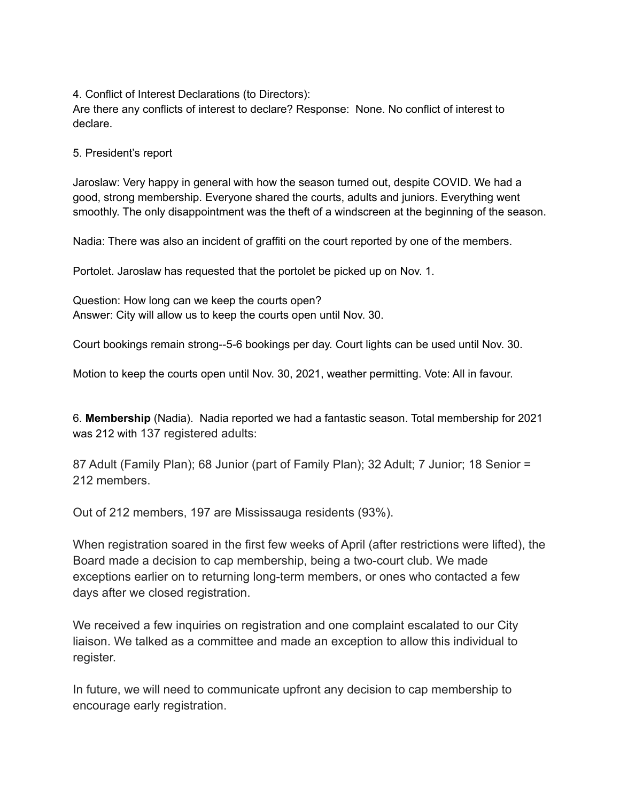4. Conflict of Interest Declarations (to Directors):

Are there any conflicts of interest to declare? Response: None. No conflict of interest to declare.

5. President's report

Jaroslaw: Very happy in general with how the season turned out, despite COVID. We had a good, strong membership. Everyone shared the courts, adults and juniors. Everything went smoothly. The only disappointment was the theft of a windscreen at the beginning of the season.

Nadia: There was also an incident of graffiti on the court reported by one of the members.

Portolet. Jaroslaw has requested that the portolet be picked up on Nov. 1.

Question: How long can we keep the courts open? Answer: City will allow us to keep the courts open until Nov. 30.

Court bookings remain strong--5-6 bookings per day. Court lights can be used until Nov. 30.

Motion to keep the courts open until Nov. 30, 2021, weather permitting. Vote: All in favour.

6. **Membership** (Nadia). Nadia reported we had a fantastic season. Total membership for 2021 was 212 with 137 registered adults:

87 Adult (Family Plan); 68 Junior (part of Family Plan); 32 Adult; 7 Junior; 18 Senior = 212 members.

Out of 212 members, 197 are Mississauga residents (93%).

When registration soared in the first few weeks of April (after restrictions were lifted), the Board made a decision to cap membership, being a two-court club. We made exceptions earlier on to returning long-term members, or ones who contacted a few days after we closed registration.

We received a few inquiries on registration and one complaint escalated to our City liaison. We talked as a committee and made an exception to allow this individual to register.

In future, we will need to communicate upfront any decision to cap membership to encourage early registration.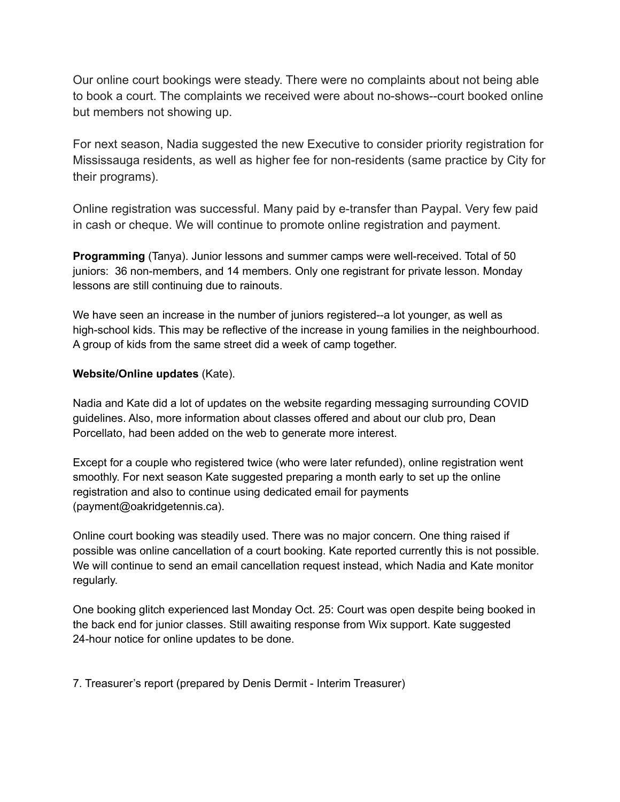Our online court bookings were steady. There were no complaints about not being able to book a court. The complaints we received were about no-shows--court booked online but members not showing up.

For next season, Nadia suggested the new Executive to consider priority registration for Mississauga residents, as well as higher fee for non-residents (same practice by City for their programs).

Online registration was successful. Many paid by e-transfer than Paypal. Very few paid in cash or cheque. We will continue to promote online registration and payment.

**Programming** (Tanya). Junior lessons and summer camps were well-received. Total of 50 juniors: 36 non-members, and 14 members. Only one registrant for private lesson. Monday lessons are still continuing due to rainouts.

We have seen an increase in the number of juniors registered--a lot younger, as well as high-school kids. This may be reflective of the increase in young families in the neighbourhood. A group of kids from the same street did a week of camp together.

## **Website/Online updates** (Kate).

Nadia and Kate did a lot of updates on the website regarding messaging surrounding COVID guidelines. Also, more information about classes offered and about our club pro, Dean Porcellato, had been added on the web to generate more interest.

Except for a couple who registered twice (who were later refunded), online registration went smoothly. For next season Kate suggested preparing a month early to set up the online registration and also to continue using dedicated email for payments (payment@oakridgetennis.ca).

Online court booking was steadily used. There was no major concern. One thing raised if possible was online cancellation of a court booking. Kate reported currently this is not possible. We will continue to send an email cancellation request instead, which Nadia and Kate monitor regularly.

One booking glitch experienced last Monday Oct. 25: Court was open despite being booked in the back end for junior classes. Still awaiting response from Wix support. Kate suggested 24-hour notice for online updates to be done.

7. Treasurer's report (prepared by Denis Dermit - Interim Treasurer)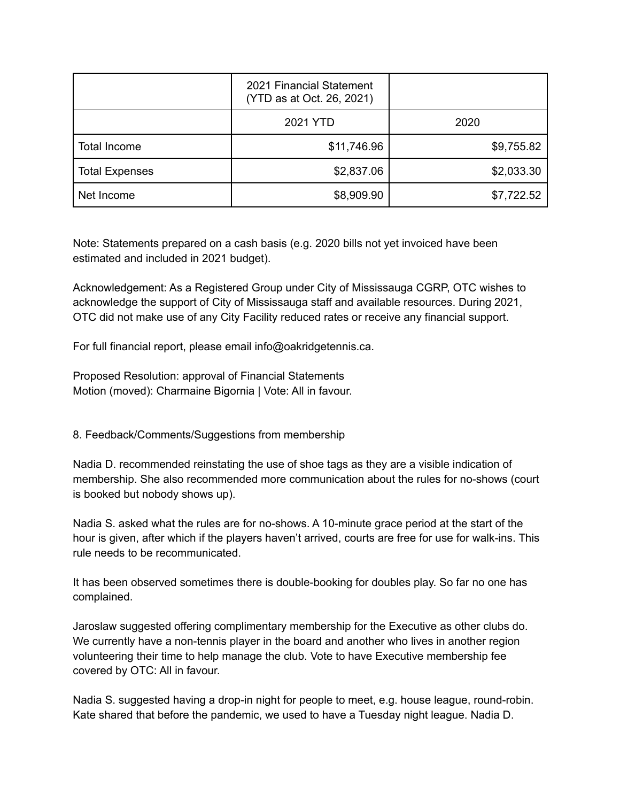|                       | 2021 Financial Statement<br>(YTD as at Oct. 26, 2021) |            |
|-----------------------|-------------------------------------------------------|------------|
|                       | 2021 YTD                                              | 2020       |
| Total Income          | \$11,746.96                                           | \$9,755.82 |
| <b>Total Expenses</b> | \$2,837.06                                            | \$2,033.30 |
| Net Income            | \$8,909.90                                            | \$7,722.52 |

Note: Statements prepared on a cash basis (e.g. 2020 bills not yet invoiced have been estimated and included in 2021 budget).

Acknowledgement: As a Registered Group under City of Mississauga CGRP, OTC wishes to acknowledge the support of City of Mississauga staff and available resources. During 2021, OTC did not make use of any City Facility reduced rates or receive any financial support.

For full financial report, please email info@oakridgetennis.ca.

Proposed Resolution: approval of Financial Statements Motion (moved): Charmaine Bigornia | Vote: All in favour.

8. Feedback/Comments/Suggestions from membership

Nadia D. recommended reinstating the use of shoe tags as they are a visible indication of membership. She also recommended more communication about the rules for no-shows (court is booked but nobody shows up).

Nadia S. asked what the rules are for no-shows. A 10-minute grace period at the start of the hour is given, after which if the players haven't arrived, courts are free for use for walk-ins. This rule needs to be recommunicated.

It has been observed sometimes there is double-booking for doubles play. So far no one has complained.

Jaroslaw suggested offering complimentary membership for the Executive as other clubs do. We currently have a non-tennis player in the board and another who lives in another region volunteering their time to help manage the club. Vote to have Executive membership fee covered by OTC: All in favour.

Nadia S. suggested having a drop-in night for people to meet, e.g. house league, round-robin. Kate shared that before the pandemic, we used to have a Tuesday night league. Nadia D.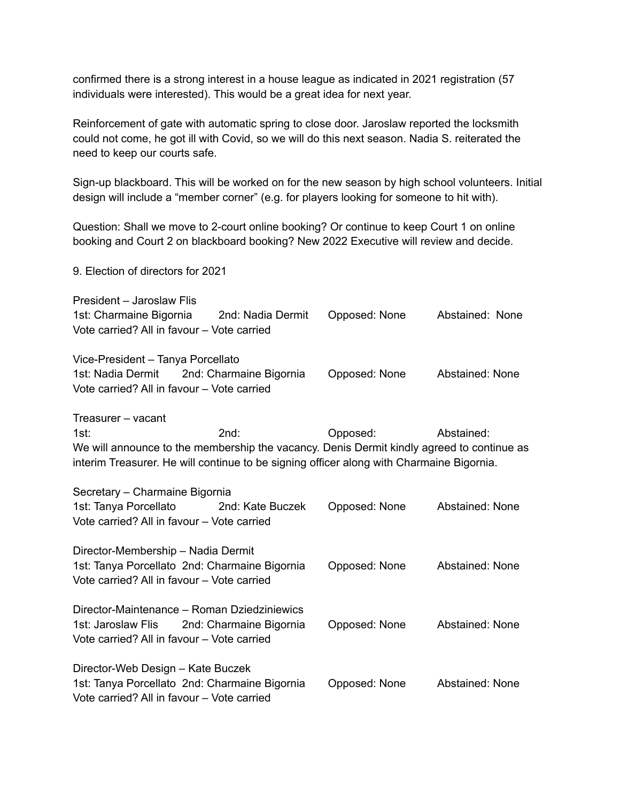confirmed there is a strong interest in a house league as indicated in 2021 registration (57 individuals were interested). This would be a great idea for next year.

Reinforcement of gate with automatic spring to close door. Jaroslaw reported the locksmith could not come, he got ill with Covid, so we will do this next season. Nadia S. reiterated the need to keep our courts safe.

Sign-up blackboard. This will be worked on for the new season by high school volunteers. Initial design will include a "member corner" (e.g. for players looking for someone to hit with).

Question: Shall we move to 2-court online booking? Or continue to keep Court 1 on online booking and Court 2 on blackboard booking? New 2022 Executive will review and decide.

9. Election of directors for 2021 President – Jaroslaw Flis 1st: Charmaine Bigornia 2nd: Nadia Dermit Opposed: None Abstained: None Vote carried? All in favour – Vote carried Vice-President – Tanya Porcellato 1st: Nadia Dermit 2nd: Charmaine Bigornia Opposed: None Abstained: None Vote carried? All in favour – Vote carried Treasurer – vacant 1st: 2nd: Opposed: Abstained: We will announce to the membership the vacancy. Denis Dermit kindly agreed to continue as interim Treasurer. He will continue to be signing officer along with Charmaine Bigornia. Secretary – Charmaine Bigornia 1st: Tanya Porcellato 2nd: Kate Buczek Opposed: None Abstained: None Vote carried? All in favour – Vote carried Director-Membership – Nadia Dermit 1st: Tanya Porcellato 2nd: Charmaine Bigornia Opposed: None Abstained: None Vote carried? All in favour – Vote carried Director-Maintenance – Roman Dziedziniewics 1st: Jaroslaw Flis 2nd: Charmaine Bigornia Opposed: None Abstained: None Vote carried? All in favour – Vote carried Director-Web Design – Kate Buczek 1st: Tanya Porcellato 2nd: Charmaine Bigornia Opposed: None Abstained: None Vote carried? All in favour – Vote carried